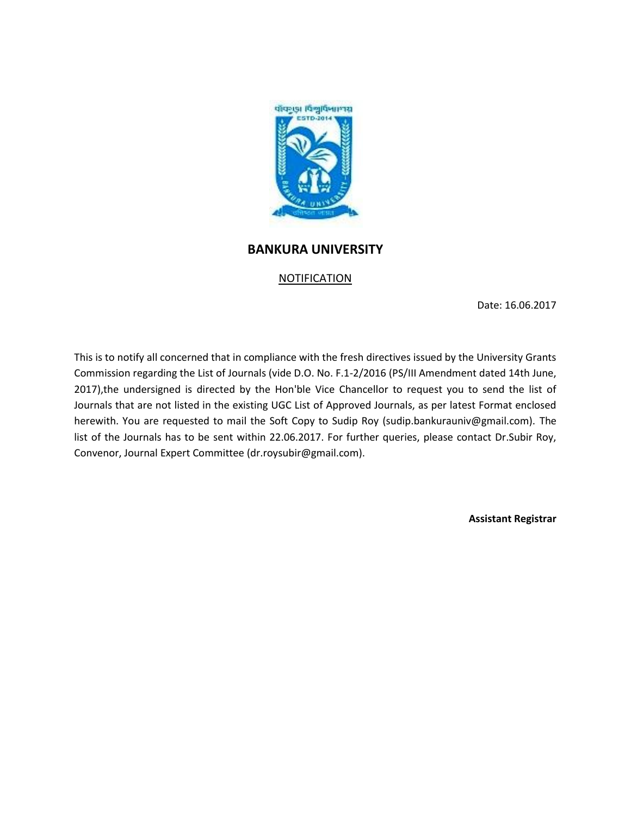

## **BANKURA UNIVERSITY**

## NOTIFICATION

Date: 16.06.2017

This is to notify all concerned that in compliance with the fresh directives issued by the University Grants Commission regarding the List of Journals (vide D.O. No. F.1-2/2016 (PS/III Amendment dated 14th June, 2017),the undersigned is directed by the Hon'ble Vice Chancellor to request you to send the list of Journals that are not listed in the existing UGC List of Approved Journals, as per latest Format enclosed herewith. You are requested to mail the Soft Copy to Sudip Roy (sudip.bankurauniv@gmail.com). The list of the Journals has to be sent within 22.06.2017. For further queries, please contact Dr.Subir Roy, Convenor, Journal Expert Committee (dr.roysubir@gmail.com).

**Assistant Registrar**